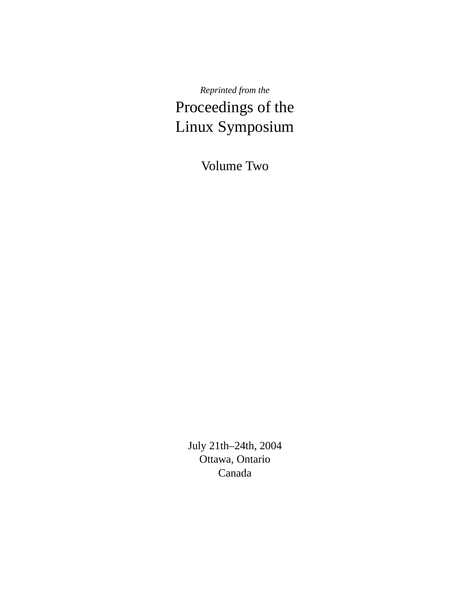*Reprinted from the* Proceedings of the Linux Symposium

Volume Two

July 21th–24th, 2004 Ottawa, Ontario Canada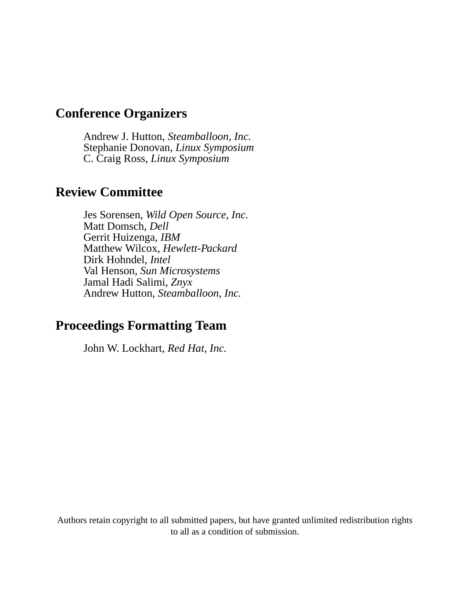## **Conference Organizers**

Andrew J. Hutton, *Steamballoon, Inc.* Stephanie Donovan, *Linux Symposium* C. Craig Ross, *Linux Symposium*

## **Review Committee**

Jes Sorensen, *Wild Open Source, Inc.* Matt Domsch, *Dell* Gerrit Huizenga, *IBM* Matthew Wilcox, *Hewlett-Packard* Dirk Hohndel, *Intel* Val Henson, *Sun Microsystems* Jamal Hadi Salimi, *Znyx* Andrew Hutton, *Steamballoon, Inc.*

## **Proceedings Formatting Team**

John W. Lockhart, *Red Hat, Inc.*

Authors retain copyright to all submitted papers, but have granted unlimited redistribution rights to all as a condition of submission.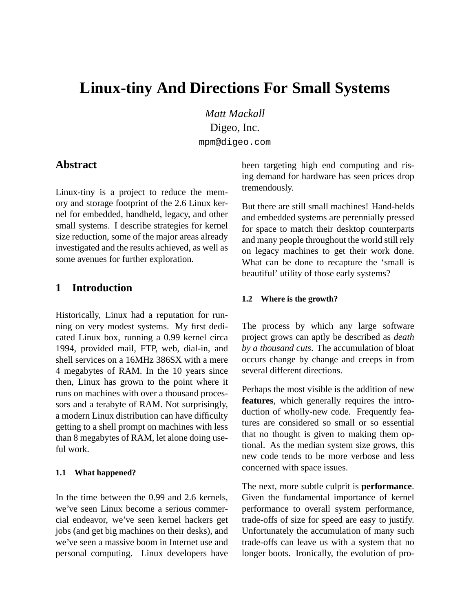# **Linux-tiny And Directions For Small Systems**

*Matt Mackall* Digeo, Inc. mpm@digeo.com

### **Abstract**

Linux-tiny is a project to reduce the memory and storage footprint of the 2.6 Linux kernel for embedded, handheld, legacy, and other small systems. I describe strategies for kernel size reduction, some of the major areas already investigated and the results achieved, as well as some avenues for further exploration.

### **1 Introduction**

Historically, Linux had a reputation for running on very modest systems. My first dedicated Linux box, running a 0.99 kernel circa 1994, provided mail, FTP, web, dial-in, and shell services on a 16MHz 386SX with a mere 4 megabytes of RAM. In the 10 years since then, Linux has grown to the point where it runs on machines with over a thousand processors and a terabyte of RAM. Not surprisingly, a modern Linux distribution can have difficulty getting to a shell prompt on machines with less than 8 megabytes of RAM, let alone doing useful work.

#### **1.1 What happened?**

In the time between the 0.99 and 2.6 kernels, we've seen Linux become a serious commercial endeavor, we've seen kernel hackers get jobs (and get big machines on their desks), and we've seen a massive boom in Internet use and personal computing. Linux developers have been targeting high end computing and rising demand for hardware has seen prices drop tremendously.

But there are still small machines! Hand-helds and embedded systems are perennially pressed for space to match their desktop counterparts and many people throughout the world still rely on legacy machines to get their work done. What can be done to recapture the 'small is beautiful' utility of those early systems?

#### **1.2 Where is the growth?**

The process by which any large software project grows can aptly be described as *death by a thousand cuts*. The accumulation of bloat occurs change by change and creeps in from several different directions.

Perhaps the most visible is the addition of new **features**, which generally requires the introduction of wholly-new code. Frequently features are considered so small or so essential that no thought is given to making them optional. As the median system size grows, this new code tends to be more verbose and less concerned with space issues.

The next, more subtle culprit is **performance**. Given the fundamental importance of kernel performance to overall system performance, trade-offs of size for speed are easy to justify. Unfortunately the accumulation of many such trade-offs can leave us with a system that no longer boots. Ironically, the evolution of pro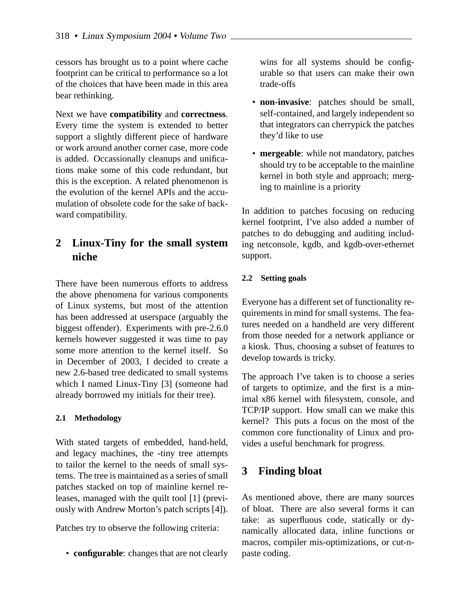cessors has brought us to a point where cache footprint can be critical to performance so a lot of the choices that have been made in this area bear rethinking.

Next we have **compatibility** and **correctness**. Every time the system is extended to better support a slightly different piece of hardware or work around another corner case, more code is added. Occassionally cleanups and unifications make some of this code redundant, but this is the exception. A related phenomenon is the evolution of the kernel APIs and the accumulation of obsolete code for the sake of backward compatibility.

## **2 Linux-Tiny for the small system niche**

There have been numerous efforts to address the above phenomena for various components of Linux systems, but most of the attention has been addressed at userspace (arguably the biggest offender). Experiments with pre-2.6.0 kernels however suggested it was time to pay some more attention to the kernel itself. So in December of 2003, I decided to create a new 2.6-based tree dedicated to small systems which I named Linux-Tiny [3] (someone had already borrowed my initials for their tree).

### **2.1 Methodology**

With stated targets of embedded, hand-held, and legacy machines, the -tiny tree attempts to tailor the kernel to the needs of small systems. The tree is maintained as a series of small patches stacked on top of mainline kernel releases, managed with the quilt tool [1] (previously with Andrew Morton's patch scripts [4]).

Patches try to observe the following criteria:

• **configurable**: changes that are not clearly

wins for all systems should be configurable so that users can make their own trade-offs

- **non-invasive**: patches should be small, self-contained, and largely independent so that integrators can cherrypick the patches they'd like to use
- **mergeable**: while not mandatory, patches should try to be acceptable to the mainline kernel in both style and approach; merging to mainline is a priority

In addition to patches focusing on reducing kernel footprint, I've also added a number of patches to do debugging and auditing including netconsole, kgdb, and kgdb-over-ethernet support.

### **2.2 Setting goals**

Everyone has a different set of functionality requirements in mind for small systems. The features needed on a handheld are very different from those needed for a network appliance or a kiosk. Thus, choosing a subset of features to develop towards is tricky.

The approach I've taken is to choose a series of targets to optimize, and the first is a minimal x86 kernel with filesystem, console, and TCP/IP support. How small can we make this kernel? This puts a focus on the most of the common core functionality of Linux and provides a useful benchmark for progress.

### **3 Finding bloat**

As mentioned above, there are many sources of bloat. There are also several forms it can take: as superfluous code, statically or dynamically allocated data, inline functions or macros, compiler mis-optimizations, or cut-npaste coding.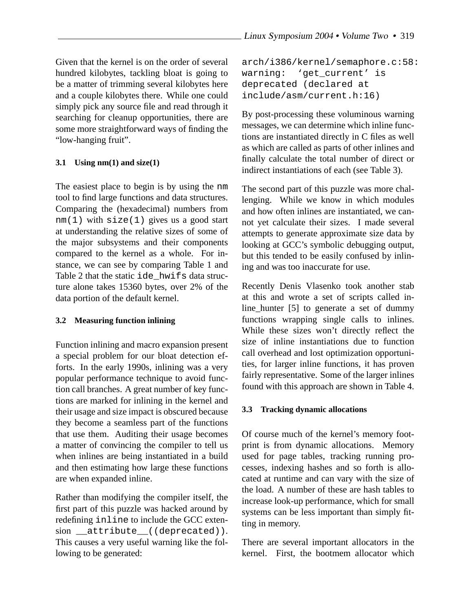Given that the kernel is on the order of several hundred kilobytes, tackling bloat is going to be a matter of trimming several kilobytes here and a couple kilobytes there. While one could simply pick any source file and read through it searching for cleanup opportunities, there are some more straightforward ways of finding the "low-hanging fruit".

### **3.1 Using nm(1) and size(1)**

The easiest place to begin is by using the nm tool to find large functions and data structures. Comparing the (hexadecimal) numbers from  $nm(1)$  with  $size(1)$  gives us a good start at understanding the relative sizes of some of the major subsystems and their components compared to the kernel as a whole. For instance, we can see by comparing Table 1 and Table 2 that the static ide hwifs data structure alone takes 15360 bytes, over 2% of the data portion of the default kernel.

### **3.2 Measuring function inlining**

Function inlining and macro expansion present a special problem for our bloat detection efforts. In the early 1990s, inlining was a very popular performance technique to avoid function call branches. A great number of key functions are marked for inlining in the kernel and their usage and size impact is obscured because they become a seamless part of the functions that use them. Auditing their usage becomes a matter of convincing the compiler to tell us when inlines are being instantiated in a build and then estimating how large these functions are when expanded inline.

Rather than modifying the compiler itself, the first part of this puzzle was hacked around by redefining inline to include the GCC extension attribute ((deprecated)). This causes a very useful warning like the following to be generated:

```
arch/i386/kernel/semaphore.c:58:
warning: 'get current' is
deprecated (declared at
include/asm/current.h:16)
```
By post-processing these voluminous warning messages, we can determine which inline functions are instantiated directly in C files as well as which are called as parts of other inlines and finally calculate the total number of direct or indirect instantiations of each (see Table 3).

The second part of this puzzle was more challenging. While we know in which modules and how often inlines are instantiated, we cannot yet calculate their sizes. I made several attempts to generate approximate size data by looking at GCC's symbolic debugging output, but this tended to be easily confused by inlining and was too inaccurate for use.

Recently Denis Vlasenko took another stab at this and wrote a set of scripts called inline\_hunter [5] to generate a set of dummy functions wrapping single calls to inlines. While these sizes won't directly reflect the size of inline instantiations due to function call overhead and lost optimization opportunities, for larger inline functions, it has proven fairly representative. Some of the larger inlines found with this approach are shown in Table 4.

#### **3.3 Tracking dynamic allocations**

Of course much of the kernel's memory footprint is from dynamic allocations. Memory used for page tables, tracking running processes, indexing hashes and so forth is allocated at runtime and can vary with the size of the load. A number of these are hash tables to increase look-up performance, which for small systems can be less important than simply fitting in memory.

There are several important allocators in the kernel. First, the bootmem allocator which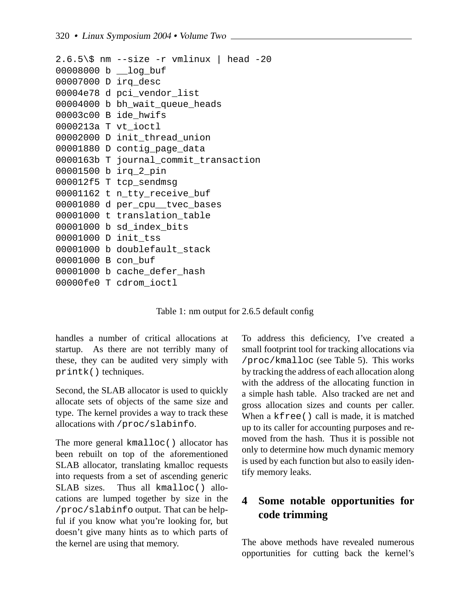```
2.6.5\% nm --size -r vmlinux | head -20
00008000 b log buf
00007000 D irq_desc
00004e78 d pci_vendor_list
00004000 b bh_wait_queue_heads
00003c00 B ide_hwifs
0000213a T vt_ioctl
00002000 D init_thread_union
00001880 D contig_page_data
0000163b T journal_commit_transaction
00001500 b irq_2_pin
000012f5 T tcp_sendmsg
00001162 t n_tty_receive_buf
00001080 d per_cpu__tvec_bases
00001000 t translation table
00001000 b sd_index_bits
00001000 D init_tss
00001000 b doublefault stack
00001000 B con_buf
00001000 b cache_defer_hash
00000fe0 T cdrom_ioctl
```
Table 1: nm output for 2.6.5 default config

handles a number of critical allocations at startup. As there are not terribly many of these, they can be audited very simply with printk() techniques.

Second, the SLAB allocator is used to quickly allocate sets of objects of the same size and type. The kernel provides a way to track these allocations with /proc/slabinfo.

The more general kmalloc() allocator has been rebuilt on top of the aforementioned SLAB allocator, translating kmalloc requests into requests from a set of ascending generic SLAB sizes. Thus all kmalloc() allocations are lumped together by size in the /proc/slabinfo output. That can be helpful if you know what you're looking for, but doesn't give many hints as to which parts of the kernel are using that memory.

To address this deficiency, I've created a small footprint tool for tracking allocations via /proc/kmalloc (see Table 5). This works by tracking the address of each allocation along with the address of the allocating function in a simple hash table. Also tracked are net and gross allocation sizes and counts per caller. When a kfree() call is made, it is matched up to its caller for accounting purposes and removed from the hash. Thus it is possible not only to determine how much dynamic memory is used by each function but also to easily identify memory leaks.

## **4 Some notable opportunities for code trimming**

The above methods have revealed numerous opportunities for cutting back the kernel's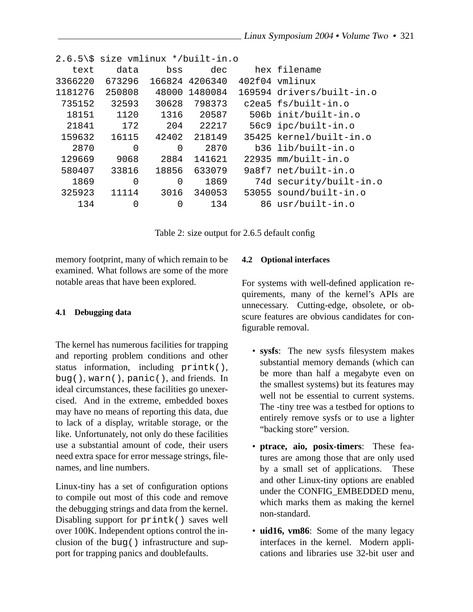|         | $2.6.5\$ size vmlinux */built-in.o |          |         |        |                           |
|---------|------------------------------------|----------|---------|--------|---------------------------|
| text    | data                               | bss      | dec     |        | hex filename              |
| 3366220 | 673296                             | 166824   | 4206340 | 402f04 | vmlinux                   |
| 1181276 | 250808                             | 48000    | 1480084 |        | 169594 drivers/built-in.o |
| 735152  | 32593                              | 30628    | 798373  |        | c2ea5 fs/built-in.o       |
| 18151   | 1120                               | 1316     | 20587   |        | 506b init/built-in.o      |
| 21841   | 172                                | 204      | 22217   |        | 56c9 ipc/built-in.o       |
| 159632  | 16115                              | 42402    | 218149  |        | 35425 kernel/built-in.o   |
| 2870    | 0                                  | $\Omega$ | 2870    |        | b36 lib/built-in.o        |
| 129669  | 9068                               | 2884     | 141621  | 22935  | mm/built-in.o             |
| 580407  | 33816                              | 18856    | 633079  |        | 9a8f7 net/built-in.o      |
| 1869    | 0                                  | 0        | 1869    |        | 74d security/built-in.o   |
| 325923  | 11114                              | 3016     | 340053  |        | 53055 sound/built-in.o    |
| 134     | 0                                  | $\Omega$ | 134     |        | 86 usr/built-in.o         |
|         |                                    |          |         |        |                           |

Table 2: size output for 2.6.5 default config

memory footprint, many of which remain to be examined. What follows are some of the more notable areas that have been explored.

#### **4.1 Debugging data**

The kernel has numerous facilities for trapping and reporting problem conditions and other status information, including printk(), bug(), warn(), panic(), and friends. In ideal circumstances, these facilities go unexercised. And in the extreme, embedded boxes may have no means of reporting this data, due to lack of a display, writable storage, or the like. Unfortunately, not only do these facilities use a substantial amount of code, their users need extra space for error message strings, filenames, and line numbers.

Linux-tiny has a set of configuration options to compile out most of this code and remove the debugging strings and data from the kernel. Disabling support for printk() saves well over 100K. Independent options control the inclusion of the bug() infrastructure and support for trapping panics and doublefaults.

#### **4.2 Optional interfaces**

For systems with well-defined application requirements, many of the kernel's APIs are unnecessary. Cutting-edge, obsolete, or obscure features are obvious candidates for configurable removal.

- **sysfs**: The new sysfs filesystem makes substantial memory demands (which can be more than half a megabyte even on the smallest systems) but its features may well not be essential to current systems. The -tiny tree was a testbed for options to entirely remove sysfs or to use a lighter "backing store" version.
- **ptrace, aio, posix-timers**: These features are among those that are only used by a small set of applications. These and other Linux-tiny options are enabled under the CONFIG EMBEDDED menu, which marks them as making the kernel non-standard.
- **uid16, vm86**: Some of the many legacy interfaces in the kernel. Modern applications and libraries use 32-bit user and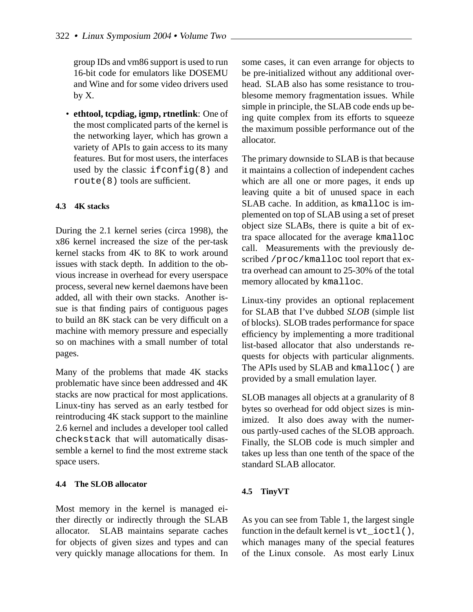group IDs and vm86 support is used to run 16-bit code for emulators like DOSEMU and Wine and for some video drivers used by X.

• **ethtool, tcpdiag, igmp, rtnetlink**: One of the most complicated parts of the kernel is the networking layer, which has grown a variety of APIs to gain access to its many features. But for most users, the interfaces used by the classic ifconfig(8) and route(8) tools are sufficient.

### **4.3 4K stacks**

During the 2.1 kernel series (circa 1998), the x86 kernel increased the size of the per-task kernel stacks from 4K to 8K to work around issues with stack depth. In addition to the obvious increase in overhead for every userspace process, several new kernel daemons have been added, all with their own stacks. Another issue is that finding pairs of contiguous pages to build an 8K stack can be very difficult on a machine with memory pressure and especially so on machines with a small number of total pages.

Many of the problems that made 4K stacks problematic have since been addressed and 4K stacks are now practical for most applications. Linux-tiny has served as an early testbed for reintroducing 4K stack support to the mainline 2.6 kernel and includes a developer tool called checkstack that will automatically disassemble a kernel to find the most extreme stack space users.

#### **4.4 The SLOB allocator**

Most memory in the kernel is managed either directly or indirectly through the SLAB allocator. SLAB maintains separate caches for objects of given sizes and types and can very quickly manage allocations for them. In some cases, it can even arrange for objects to be pre-initialized without any additional overhead. SLAB also has some resistance to troublesome memory fragmentation issues. While simple in principle, the SLAB code ends up being quite complex from its efforts to squeeze the maximum possible performance out of the allocator.

The primary downside to SLAB is that because it maintains a collection of independent caches which are all one or more pages, it ends up leaving quite a bit of unused space in each SLAB cache. In addition, as kmalloc is implemented on top of SLAB using a set of preset object size SLABs, there is quite a bit of extra space allocated for the average kmalloc call. Measurements with the previously described /proc/kmalloc tool report that extra overhead can amount to 25-30% of the total memory allocated by kmalloc.

Linux-tiny provides an optional replacement for SLAB that I've dubbed *SLOB* (simple list of blocks). SLOB trades performance for space efficiency by implementing a more traditional list-based allocator that also understands requests for objects with particular alignments. The APIs used by SLAB and kmalloc() are provided by a small emulation layer.

SLOB manages all objects at a granularity of 8 bytes so overhead for odd object sizes is minimized. It also does away with the numerous partly-used caches of the SLOB approach. Finally, the SLOB code is much simpler and takes up less than one tenth of the space of the standard SLAB allocator.

#### **4.5 TinyVT**

As you can see from Table 1, the largest single function in the default kernel is  $vt\_i$ octl(), which manages many of the special features of the Linux console. As most early Linux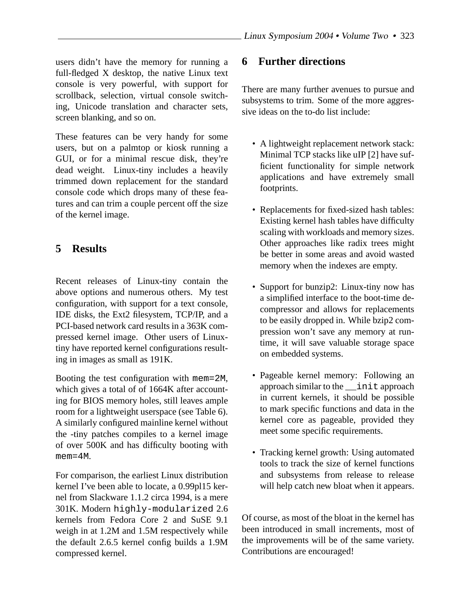users didn't have the memory for running a full-fledged X desktop, the native Linux text console is very powerful, with support for scrollback, selection, virtual console switching, Unicode translation and character sets, screen blanking, and so on.

These features can be very handy for some users, but on a palmtop or kiosk running a GUI, or for a minimal rescue disk, they're dead weight. Linux-tiny includes a heavily trimmed down replacement for the standard console code which drops many of these features and can trim a couple percent off the size of the kernel image.

### **5 Results**

Recent releases of Linux-tiny contain the above options and numerous others. My test configuration, with support for a text console, IDE disks, the Ext2 filesystem, TCP/IP, and a PCI-based network card results in a 363K compressed kernel image. Other users of Linuxtiny have reported kernel configurations resulting in images as small as 191K.

Booting the test configuration with mem=2M, which gives a total of of 1664K after accounting for BIOS memory holes, still leaves ample room for a lightweight userspace (see Table 6). A similarly configured mainline kernel without the -tiny patches compiles to a kernel image of over 500K and has difficulty booting with mem=4M.

For comparison, the earliest Linux distribution kernel I've been able to locate, a 0.99pl15 kernel from Slackware 1.1.2 circa 1994, is a mere 301K. Modern highly-modularized 2.6 kernels from Fedora Core 2 and SuSE 9.1 weigh in at 1.2M and 1.5M respectively while the default 2.6.5 kernel config builds a 1.9M compressed kernel.

### **6 Further directions**

There are many further avenues to pursue and subsystems to trim. Some of the more aggressive ideas on the to-do list include:

- A lightweight replacement network stack: Minimal TCP stacks like uIP [2] have sufficient functionality for simple network applications and have extremely small footprints.
- Replacements for fixed-sized hash tables: Existing kernel hash tables have difficulty scaling with workloads and memory sizes. Other approaches like radix trees might be better in some areas and avoid wasted memory when the indexes are empty.
- Support for bunzip2: Linux-tiny now has a simplified interface to the boot-time decompressor and allows for replacements to be easily dropped in. While bzip2 compression won't save any memory at runtime, it will save valuable storage space on embedded systems.
- Pageable kernel memory: Following an approach similar to the \_\_init approach in current kernels, it should be possible to mark specific functions and data in the kernel core as pageable, provided they meet some specific requirements.
- Tracking kernel growth: Using automated tools to track the size of kernel functions and subsystems from release to release will help catch new bloat when it appears.

Of course, as most of the bloat in the kernel has been introduced in small increments, most of the improvements will be of the same variety. Contributions are encouraged!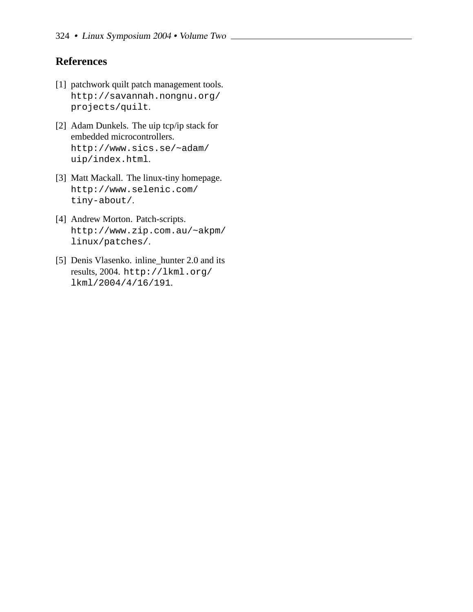### **References**

- [1] patchwork quilt patch management tools. http://savannah.nongnu.org/ projects/quilt.
- [2] Adam Dunkels. The uip tcp/ip stack for embedded microcontrollers. http://www.sics.se/~adam/ uip/index.html.
- [3] Matt Mackall. The linux-tiny homepage. http://www.selenic.com/ tiny-about/.
- [4] Andrew Morton. Patch-scripts. http://www.zip.com.au/~akpm/ linux/patches/.
- [5] Denis Vlasenko. inline\_hunter 2.0 and its results, 2004. http://lkml.org/ lkml/2004/4/16/191.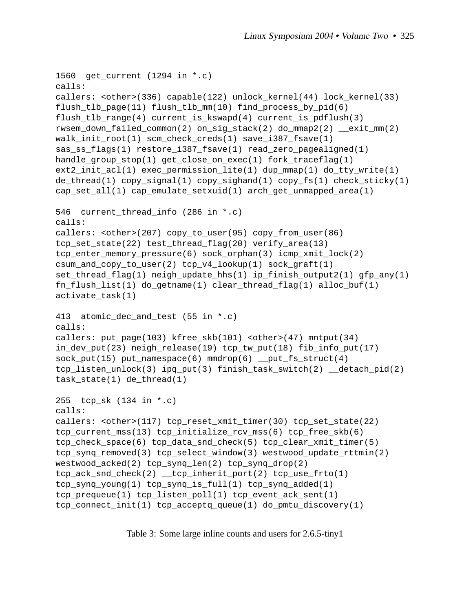```
1560 get_current (1294 in *.c)
calls:
callers: <other>(336) capable(122) unlock_kernel(44) lock_kernel(33)
flush_tlb_page(11) flush_tlb_mm(10) find_process_by_pid(6)
flush_tlb_range(4) current_is_kswapd(4) current_is_pdflush(3)
rwsem_down_failed_common(2) on_sig_stack(2) do_mmap2(2) __exit_mm(2)
walk_init_root(1) scm_check_creds(1) save_i387_fsave(1)
sas_ss_flags(1) restore_i387_fsave(1) read_zero_pagealigned(1)
handle_group_stop(1) get_close_on_exec(1) fork_traceflag(1)
ext2_init_acl(1) exec_permission_lite(1) dup_mmap(1) do_tty_write(1)
de_thread(1) copy_signal(1) copy_sighand(1) copy_fs(1) check_sticky(1)
cap_set_all(1) cap_emulate_setxuid(1) arch_get_unmapped_area(1)
546 current_thread_info (286 in *.c)
calls:
callers: <other>(207) copy_to_user(95) copy_from_user(86)
tcp_set_state(22) test_thread_flag(20) verify_area(13)
tcp_enter_memory_pressure(6) sock_orphan(3) icmp_xmit_lock(2)
csum_and_copy_to_user(2) tcp_v4_lookup(1) sock_graft(1)
set_thread_flag(1) neigh_update_hhs(1) ip_finish_output2(1) gfp_any(1)
fn_flush_list(1) do_getname(1) clear_thread_flag(1) alloc_buf(1)
activate_task(1)
413 atomic_dec_and_test (55 in *.c)
calls:
callers: put_page(103) kfree_skb(101) <other>(47) mntput(34)
in_dev_put(23) neigh_release(19) tcp_tw_put(18) fib_info_put(17)
sock_put(15) put_namespace(6) mmdrop(6) __put_fs_struct(4)
tcp_listen_unlock(3) ipq_put(3) finish_task_switch(2) __detach_pid(2)
task_state(1) de_thread(1)
255 tcp_sk (134 in *.c)
calls:
callers: \text{cother}>(117) tcp reset xmit timer(30) tcp set state(22)
tcp_current_mss(13) tcp_initialize_rcv_mss(6) tcp_free_skb(6)
tcp_check_space(6) tcp_data_snd_check(5) tcp_clear_xmit_timer(5)
tcp_synq_removed(3) tcp_select_window(3) westwood_update_rttmin(2)
westwood_acked(2) tcp_synq_len(2) tcp_synq_drop(2)
tcp_ack_snd_check(2) __tcp_inherit_port(2) tcp_use_frto(1)
tcp_synq_young(1) tcp_synq_is_full(1) tcp_synq_added(1)
tcp_prequeue(1) tcp_listen_poll(1) tcp_event_ack_sent(1)
tcp_connect_init(1) tcp_acceptq_queue(1) do_pmtu_discovery(1)
```
Table 3: Some large inline counts and users for 2.6.5-tiny1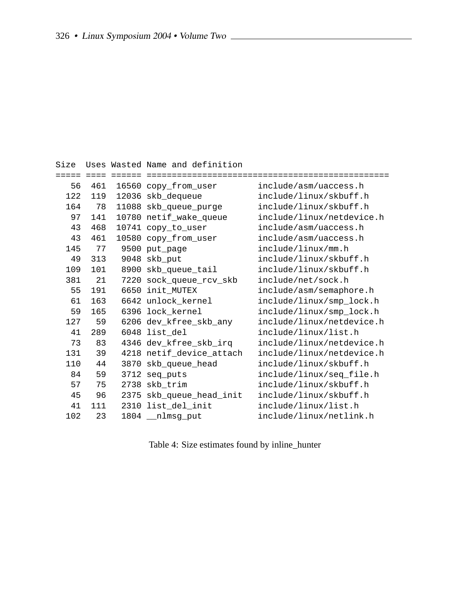```
Size Uses Wasted Name and definition
===== ==== ====== ================================================
  56 461 16560 copy_from_user include/asm/uaccess.h
 122 119 12036 skb_dequeue include/linux/skbuff.h
 164 78 11088 skb_queue_purge include/linux/skbuff.h
  97 141 10780 netif_wake_queue include/linux/netdevice.h
  43 468 10741 copy_to_user include/asm/uaccess.h
  43 461 10580 copy_from_user include/asm/uaccess.h
 145 77 9500 put_page include/linux/mm.h
  49 313 9048 skb_put include/linux/skbuff.h
 109 101 8900 skb_queue_tail include/linux/skbuff.h
 381 21 7220 sock_queue_rcv_skb include/net/sock.h
  55 191 6650 init_MUTEX include/asm/semaphore.h
  61 163 6642 unlock_kernel include/linux/smp_lock.h
  59 165 6396 lock kernel include/linux/smp lock.h
 127 59 6206 dev_kfree_skb_any include/linux/netdevice.h
  41 289 6048 list_del include/linux/list.h
  73 83 4346 dev_kfree_skb_irq include/linux/netdevice.h
 131 39 4218 netif_device_attach include/linux/netdevice.h
 110 44 3870 skb_queue_head include/linux/skbuff.h
  84 59 3712 seq_puts include/linux/seq_file.h
  57 75 2738 skb_trim include/linux/skbuff.h
  45 96 2375 skb_queue_head_init include/linux/skbuff.h
  41 111 2310 list_del_init include/linux/list.h
 102 23 1804 __nlmsg_put include/linux/netlink.h
```
Table 4: Size estimates found by inline\_hunter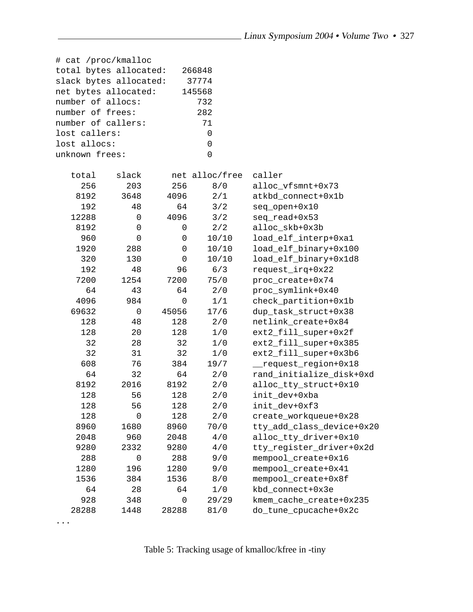| # cat /proc/kmalloc    |             |             |                |                           |
|------------------------|-------------|-------------|----------------|---------------------------|
| total bytes allocated: |             |             | 266848         |                           |
| slack bytes allocated: |             |             | 37774          |                           |
| net bytes allocated:   |             |             | 145568         |                           |
| number of allocs:      |             |             | 732            |                           |
| number of frees:       |             |             | 282            |                           |
| number of callers:     |             |             | 71             |                           |
| lost callers:          |             |             | 0              |                           |
| lost allocs:           |             |             | 0              |                           |
| unknown frees:         |             |             | 0              |                           |
| total                  | slack       |             | net alloc/free | caller                    |
| 256                    | 203         | 256         | 8/0            | alloc_vfsmnt+0x73         |
| 8192                   | 3648        | 4096        | 2/1            | atkbd_connect+0x1b        |
| 192                    | 48          | 64          | 3/2            | seq_open+0x10             |
| 12288                  | $\mathsf 0$ | 4096        | 3/2            | seq_read+0x53             |
| 8192                   | $\mathbf 0$ | 0           | $2/2$          | alloc_skb+0x3b            |
| 960                    | $\mathbf 0$ | 0           | 10/10          | load_elf_interp+0xa1      |
| 1920                   | 288         | 0           | 10/10          | load_elf_binary+0x100     |
| 320                    | 130         | $\mathbf 0$ | 10/10          | load_elf_binary+0x1d8     |
| 192                    | 48          | 96          | 6/3            | request_irq+0x22          |
| 7200                   | 1254        | 7200        | 75/0           | proc_create+0x74          |
| 64                     | 43          | 64          | 2/0            | proc_symlink+0x40         |
| 4096                   | 984         | $\mathbf 0$ | 1/1            | check_partition+0x1b      |
| 69632                  | $\mathsf 0$ | 45056       | 17/6           | dup_task_struct+0x38      |
| 128                    | 48          | 128         | 2/0            | netlink_create+0x84       |
| 128                    | 20          | 128         | 1/0            | ext2_fill_super+0x2f      |
| 32                     | 28          | 32          | 1/0            | ext2_fill_super+0x385     |
| 32                     | 31          | 32          | 1/0            | ext2_fill_super+0x3b6     |
| 608                    | 76          | 384         | 19/7           | request_region+0x18       |
| 64                     | 32          | 64          | 2/0            | rand_initialize_disk+0xd  |
| 8192                   | 2016        | 8192        | 2/0            | alloc_tty_struct+0x10     |
| 128                    | 56          | 128         | 2/0            | init_dev+0xba             |
| 128                    | 56          | 128         | 2/0            | init_dev+0xf3             |
| 128                    | 0           | 128         | 2/0            | create_workqueue+0x28     |
| 8960                   | 1680        | 8960        | 70/0           | tty_add_class_device+0x20 |
| 2048                   | 960         | 2048        | 4/0            | alloc_tty_driver+0x10     |
| 9280                   | 2332        | 9280        | 4/0            | tty_register_driver+0x2d  |
| 288                    | 0           | 288         | 9/0            | mempool_create+0x16       |
| 1280                   | 196         | 1280        | 9/0            | mempool_create+0x41       |
| 1536                   | 384         | 1536        | 8/0            | mempool_create+0x8f       |
| 64                     | 28          | 64          | 1/0            | kbd_connect+0x3e          |
| 928                    | 348         | $\mathbf 0$ | 29/29          | kmem_cache_create+0x235   |
| 28288                  | 1448        | 28288       | $81/0$         | do_tune_cpucache+0x2c     |
|                        |             |             |                |                           |

Table 5: Tracking usage of kmalloc/kfree in -tiny